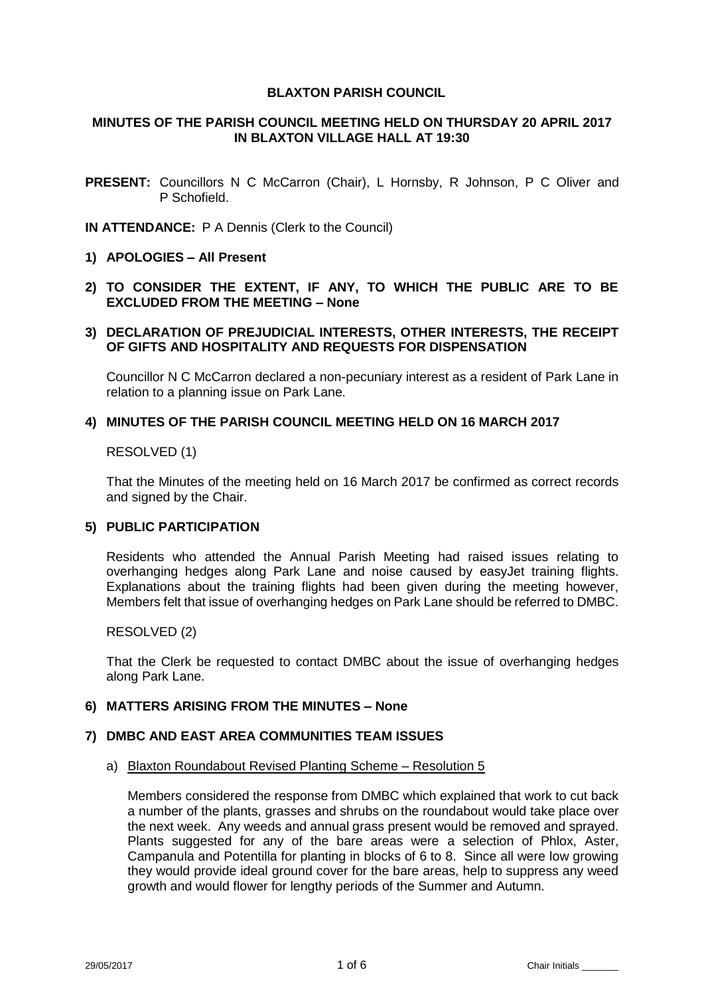### **BLAXTON PARISH COUNCIL**

#### **MINUTES OF THE PARISH COUNCIL MEETING HELD ON THURSDAY 20 APRIL 2017 IN BLAXTON VILLAGE HALL AT 19:30**

- **PRESENT:** Councillors N C McCarron (Chair), L Hornsby, R Johnson, P C Oliver and P Schofield.
- **IN ATTENDANCE:** P A Dennis (Clerk to the Council)
- **1) APOLOGIES – All Present**
- **2) TO CONSIDER THE EXTENT, IF ANY, TO WHICH THE PUBLIC ARE TO BE EXCLUDED FROM THE MEETING – None**

### **3) DECLARATION OF PREJUDICIAL INTERESTS, OTHER INTERESTS, THE RECEIPT OF GIFTS AND HOSPITALITY AND REQUESTS FOR DISPENSATION**

Councillor N C McCarron declared a non-pecuniary interest as a resident of Park Lane in relation to a planning issue on Park Lane.

### **4) MINUTES OF THE PARISH COUNCIL MEETING HELD ON 16 MARCH 2017**

RESOLVED (1)

That the Minutes of the meeting held on 16 March 2017 be confirmed as correct records and signed by the Chair.

## **5) PUBLIC PARTICIPATION**

Residents who attended the Annual Parish Meeting had raised issues relating to overhanging hedges along Park Lane and noise caused by easyJet training flights. Explanations about the training flights had been given during the meeting however, Members felt that issue of overhanging hedges on Park Lane should be referred to DMBC.

RESOLVED (2)

That the Clerk be requested to contact DMBC about the issue of overhanging hedges along Park Lane.

#### **6) MATTERS ARISING FROM THE MINUTES – None**

#### **7) DMBC AND EAST AREA COMMUNITIES TEAM ISSUES**

a) Blaxton Roundabout Revised Planting Scheme – Resolution 5

Members considered the response from DMBC which explained that work to cut back a number of the plants, grasses and shrubs on the roundabout would take place over the next week. Any weeds and annual grass present would be removed and sprayed. Plants suggested for any of the bare areas were a selection of Phlox, Aster, Campanula and Potentilla for planting in blocks of 6 to 8. Since all were low growing they would provide ideal ground cover for the bare areas, help to suppress any weed growth and would flower for lengthy periods of the Summer and Autumn.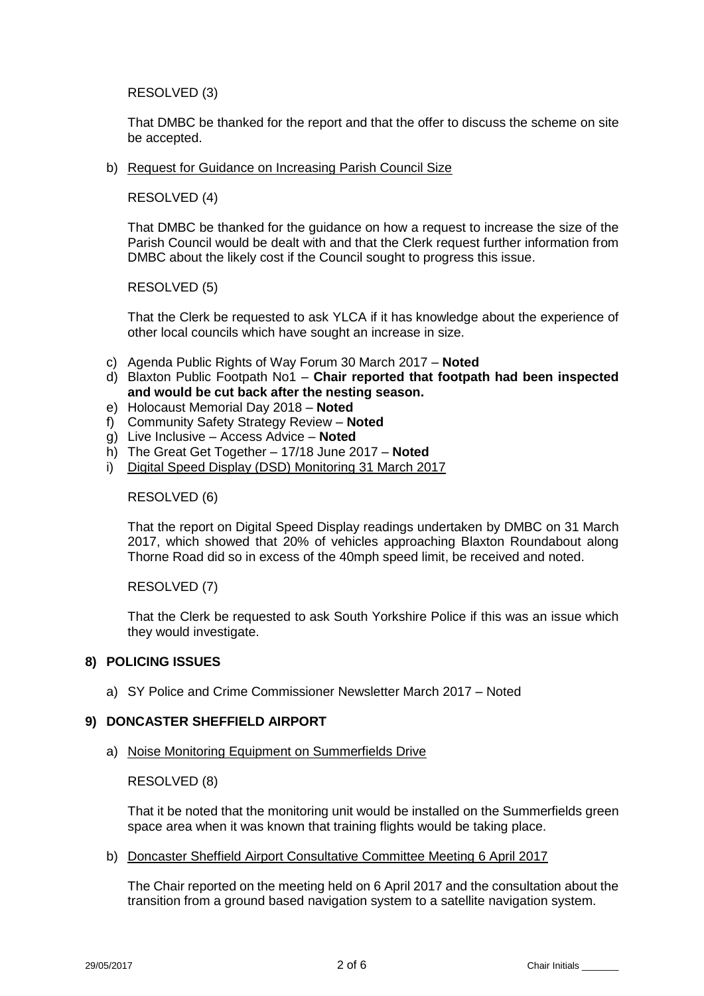RESOLVED (3)

That DMBC be thanked for the report and that the offer to discuss the scheme on site be accepted.

b) Request for Guidance on Increasing Parish Council Size

RESOLVED (4)

That DMBC be thanked for the guidance on how a request to increase the size of the Parish Council would be dealt with and that the Clerk request further information from DMBC about the likely cost if the Council sought to progress this issue.

RESOLVED (5)

That the Clerk be requested to ask YLCA if it has knowledge about the experience of other local councils which have sought an increase in size.

- c) Agenda Public Rights of Way Forum 30 March 2017 **Noted**
- d) Blaxton Public Footpath No1 **Chair reported that footpath had been inspected and would be cut back after the nesting season.**
- e) Holocaust Memorial Day 2018 **Noted**
- f) Community Safety Strategy Review **Noted**
- g) Live Inclusive Access Advice **Noted**
- h) The Great Get Together 17/18 June 2017 **Noted**
- i) Digital Speed Display (DSD) Monitoring 31 March 2017

RESOLVED (6)

That the report on Digital Speed Display readings undertaken by DMBC on 31 March 2017, which showed that 20% of vehicles approaching Blaxton Roundabout along Thorne Road did so in excess of the 40mph speed limit, be received and noted.

RESOLVED (7)

That the Clerk be requested to ask South Yorkshire Police if this was an issue which they would investigate.

## **8) POLICING ISSUES**

a) SY Police and Crime Commissioner Newsletter March 2017 – Noted

## **9) DONCASTER SHEFFIELD AIRPORT**

a) Noise Monitoring Equipment on Summerfields Drive

RESOLVED (8)

That it be noted that the monitoring unit would be installed on the Summerfields green space area when it was known that training flights would be taking place.

b) Doncaster Sheffield Airport Consultative Committee Meeting 6 April 2017

The Chair reported on the meeting held on 6 April 2017 and the consultation about the transition from a ground based navigation system to a satellite navigation system.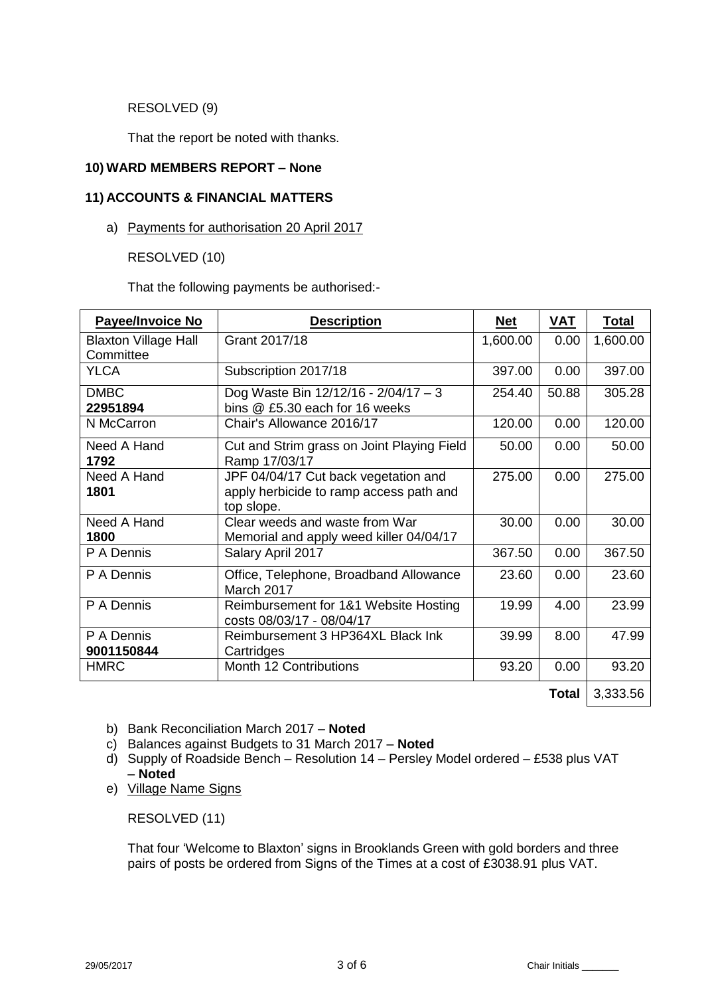RESOLVED (9)

That the report be noted with thanks.

## **10) WARD MEMBERS REPORT – None**

## **11) ACCOUNTS & FINANCIAL MATTERS**

a) Payments for authorisation 20 April 2017

RESOLVED (10)

That the following payments be authorised:-

| <b>Payee/Invoice No</b>                  | <b>Description</b>                                                                            | <b>Net</b> | <b>VAT</b> | <b>Total</b> |
|------------------------------------------|-----------------------------------------------------------------------------------------------|------------|------------|--------------|
| <b>Blaxton Village Hall</b><br>Committee | Grant 2017/18                                                                                 | 1,600.00   | 0.00       | 1,600.00     |
| <b>YLCA</b>                              | Subscription 2017/18                                                                          | 397.00     | 0.00       | 397.00       |
| <b>DMBC</b><br>22951894                  | Dog Waste Bin $12/12/16 - 2/04/17 - 3$<br>bins @ £5.30 each for 16 weeks                      | 254.40     | 50.88      | 305.28       |
| N McCarron                               | Chair's Allowance 2016/17                                                                     | 120.00     | 0.00       | 120.00       |
| Need A Hand<br>1792                      | Cut and Strim grass on Joint Playing Field<br>Ramp 17/03/17                                   | 50.00      | 0.00       | 50.00        |
| Need A Hand<br>1801                      | JPF 04/04/17 Cut back vegetation and<br>apply herbicide to ramp access path and<br>top slope. | 275.00     | 0.00       | 275.00       |
| Need A Hand<br>1800                      | Clear weeds and waste from War<br>Memorial and apply weed killer 04/04/17                     | 30.00      | 0.00       | 30.00        |
| P A Dennis                               | Salary April 2017                                                                             | 367.50     | 0.00       | 367.50       |
| P A Dennis                               | Office, Telephone, Broadband Allowance<br>March 2017                                          | 23.60      | 0.00       | 23.60        |
| P A Dennis                               | Reimbursement for 1&1 Website Hosting<br>costs 08/03/17 - 08/04/17                            | 19.99      | 4.00       | 23.99        |
| P A Dennis<br>9001150844                 | Reimbursement 3 HP364XL Black Ink<br>Cartridges                                               | 39.99      | 8.00       | 47.99        |
| <b>HMRC</b>                              | <b>Month 12 Contributions</b>                                                                 | 93.20      | 0.00       | 93.20        |

**Total** 3,333.56

- b) Bank Reconciliation March 2017 **Noted**
- c) Balances against Budgets to 31 March 2017 **Noted**
- d) Supply of Roadside Bench Resolution 14 Persley Model ordered £538 plus VAT – **Noted**
- e) Village Name Signs

RESOLVED (11)

That four 'Welcome to Blaxton' signs in Brooklands Green with gold borders and three pairs of posts be ordered from Signs of the Times at a cost of £3038.91 plus VAT.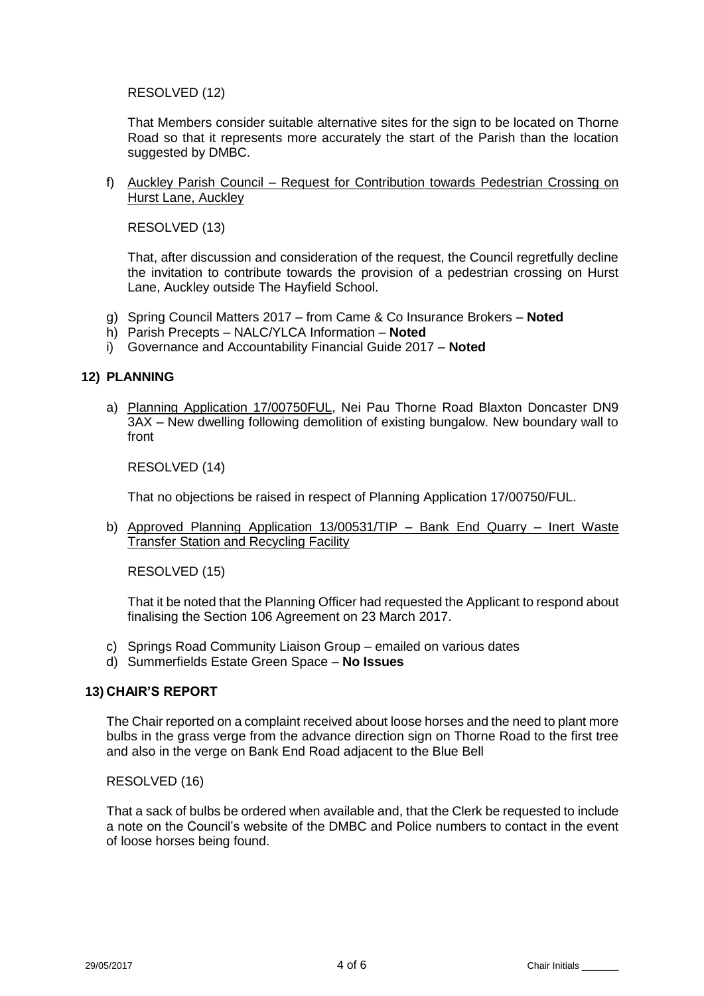RESOLVED (12)

That Members consider suitable alternative sites for the sign to be located on Thorne Road so that it represents more accurately the start of the Parish than the location suggested by DMBC.

f) Auckley Parish Council – Request for Contribution towards Pedestrian Crossing on Hurst Lane, Auckley

RESOLVED (13)

That, after discussion and consideration of the request, the Council regretfully decline the invitation to contribute towards the provision of a pedestrian crossing on Hurst Lane, Auckley outside The Hayfield School.

- g) Spring Council Matters 2017 from Came & Co Insurance Brokers **Noted**
- h) Parish Precepts NALC/YLCA Information **Noted**
- i) Governance and Accountability Financial Guide 2017 **Noted**

### **12) PLANNING**

a) Planning Application 17/00750FUL, Nei Pau Thorne Road Blaxton Doncaster DN9 3AX – New dwelling following demolition of existing bungalow. New boundary wall to front

RESOLVED (14)

That no objections be raised in respect of Planning Application 17/00750/FUL.

b) Approved Planning Application 13/00531/TIP – Bank End Quarry – Inert Waste Transfer Station and Recycling Facility

RESOLVED (15)

That it be noted that the Planning Officer had requested the Applicant to respond about finalising the Section 106 Agreement on 23 March 2017.

- c) Springs Road Community Liaison Group emailed on various dates
- d) Summerfields Estate Green Space **No Issues**

## **13) CHAIR'S REPORT**

The Chair reported on a complaint received about loose horses and the need to plant more bulbs in the grass verge from the advance direction sign on Thorne Road to the first tree and also in the verge on Bank End Road adjacent to the Blue Bell

#### RESOLVED (16)

That a sack of bulbs be ordered when available and, that the Clerk be requested to include a note on the Council's website of the DMBC and Police numbers to contact in the event of loose horses being found.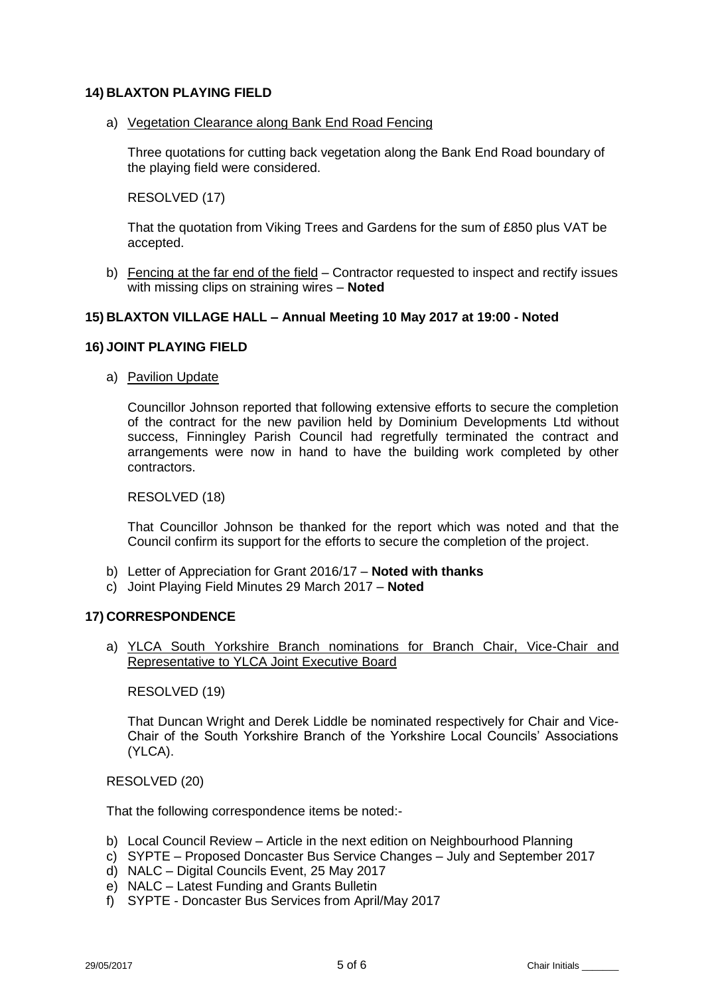## **14) BLAXTON PLAYING FIELD**

a) Vegetation Clearance along Bank End Road Fencing

Three quotations for cutting back vegetation along the Bank End Road boundary of the playing field were considered.

RESOLVED (17)

That the quotation from Viking Trees and Gardens for the sum of £850 plus VAT be accepted.

b) Fencing at the far end of the field – Contractor requested to inspect and rectify issues with missing clips on straining wires – **Noted**

## **15) BLAXTON VILLAGE HALL – Annual Meeting 10 May 2017 at 19:00 - Noted**

## **16) JOINT PLAYING FIELD**

a) Pavilion Update

Councillor Johnson reported that following extensive efforts to secure the completion of the contract for the new pavilion held by Dominium Developments Ltd without success, Finningley Parish Council had regretfully terminated the contract and arrangements were now in hand to have the building work completed by other contractors.

RESOLVED (18)

That Councillor Johnson be thanked for the report which was noted and that the Council confirm its support for the efforts to secure the completion of the project.

- b) Letter of Appreciation for Grant 2016/17 **Noted with thanks**
- c) Joint Playing Field Minutes 29 March 2017 **Noted**

## **17) CORRESPONDENCE**

a) YLCA South Yorkshire Branch nominations for Branch Chair, Vice-Chair and Representative to YLCA Joint Executive Board

RESOLVED (19)

That Duncan Wright and Derek Liddle be nominated respectively for Chair and Vice-Chair of the South Yorkshire Branch of the Yorkshire Local Councils' Associations (YLCA).

RESOLVED (20)

That the following correspondence items be noted:-

- b) Local Council Review Article in the next edition on Neighbourhood Planning
- c) SYPTE Proposed Doncaster Bus Service Changes July and September 2017
- d) NALC Digital Councils Event, 25 May 2017
- e) NALC Latest Funding and Grants Bulletin
- f) SYPTE Doncaster Bus Services from April/May 2017